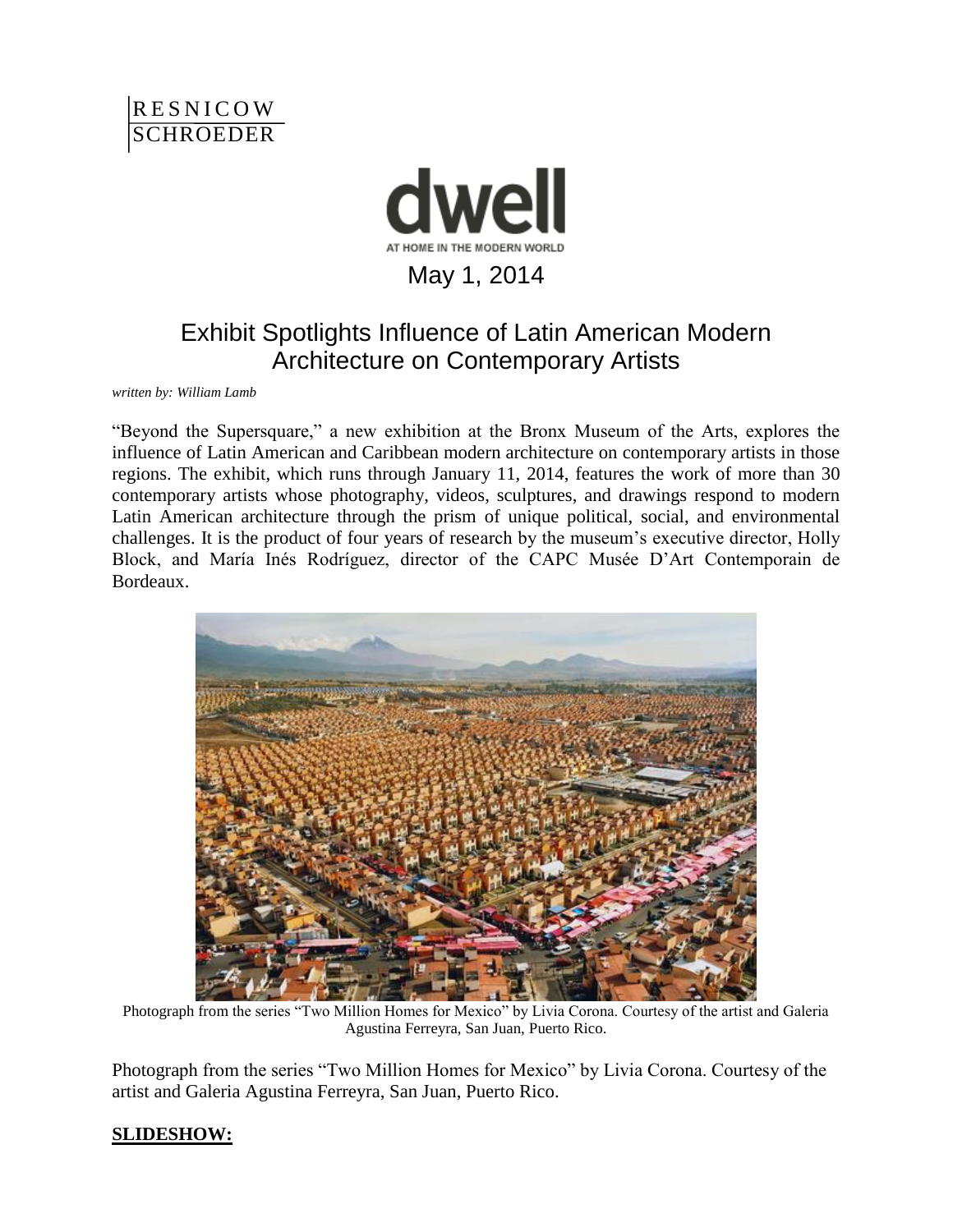



## Exhibit Spotlights Influence of Latin American Modern Architecture on Contemporary Artists

*written by: [William Lamb](http://www.dwell.com/people/william-lamb)*

"Beyond the Supersquare," a new exhibition at the Bronx Museum of the Arts, explores the influence of Latin American and Caribbean modern architecture on contemporary artists in those regions. The exhibit, which runs through January 11, 2014, features the work of more than 30 contemporary artists whose photography, videos, sculptures, and drawings respond to modern Latin American architecture through the prism of unique political, social, and environmental challenges. It is the product of four years of research by the museum's executive director, Holly Block, and María Inés Rodríguez, director of the CAPC Musée D'Art Contemporain de Bordeaux.



Photograph from the series "Two Million Homes for Mexico" by Livia Corona. Courtesy of the artist and Galeria Agustina Ferreyra, San Juan, Puerto Rico.

Photograph from the series "Two Million Homes for Mexico" by Livia Corona. Courtesy of the artist and Galeria Agustina Ferreyra, San Juan, Puerto Rico.

## **SLIDESHOW:**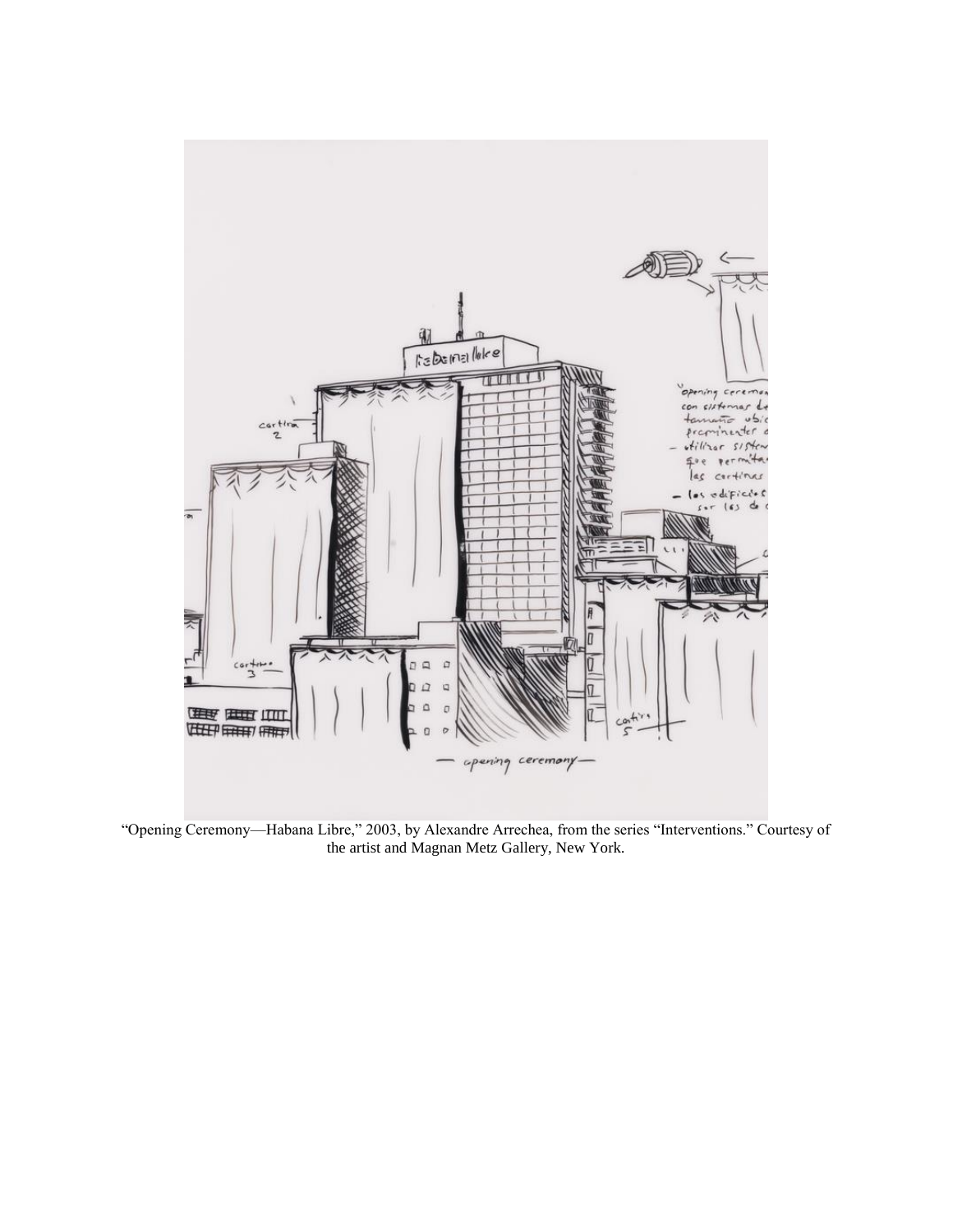

"Opening Ceremony—Habana Libre," 2003, by Alexandre Arrechea, from the series "Interventions." Courtesy of the artist and Magnan Metz Gallery, New York.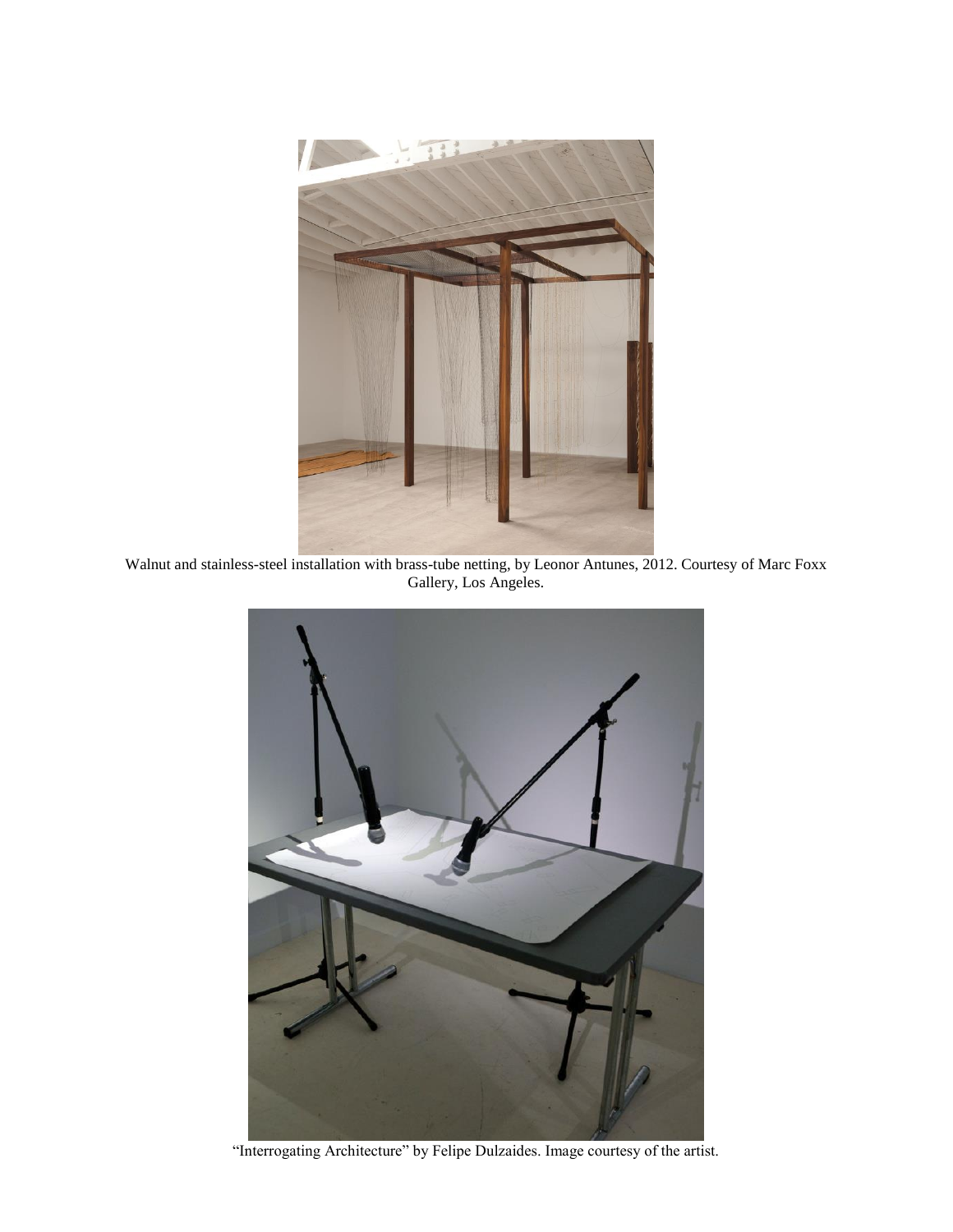

Walnut and stainless-steel installation with brass-tube netting, by Leonor Antunes, 2012. Courtesy of Marc Foxx Gallery, Los Angeles.



"Interrogating Architecture" by Felipe Dulzaides. Image courtesy of the artist.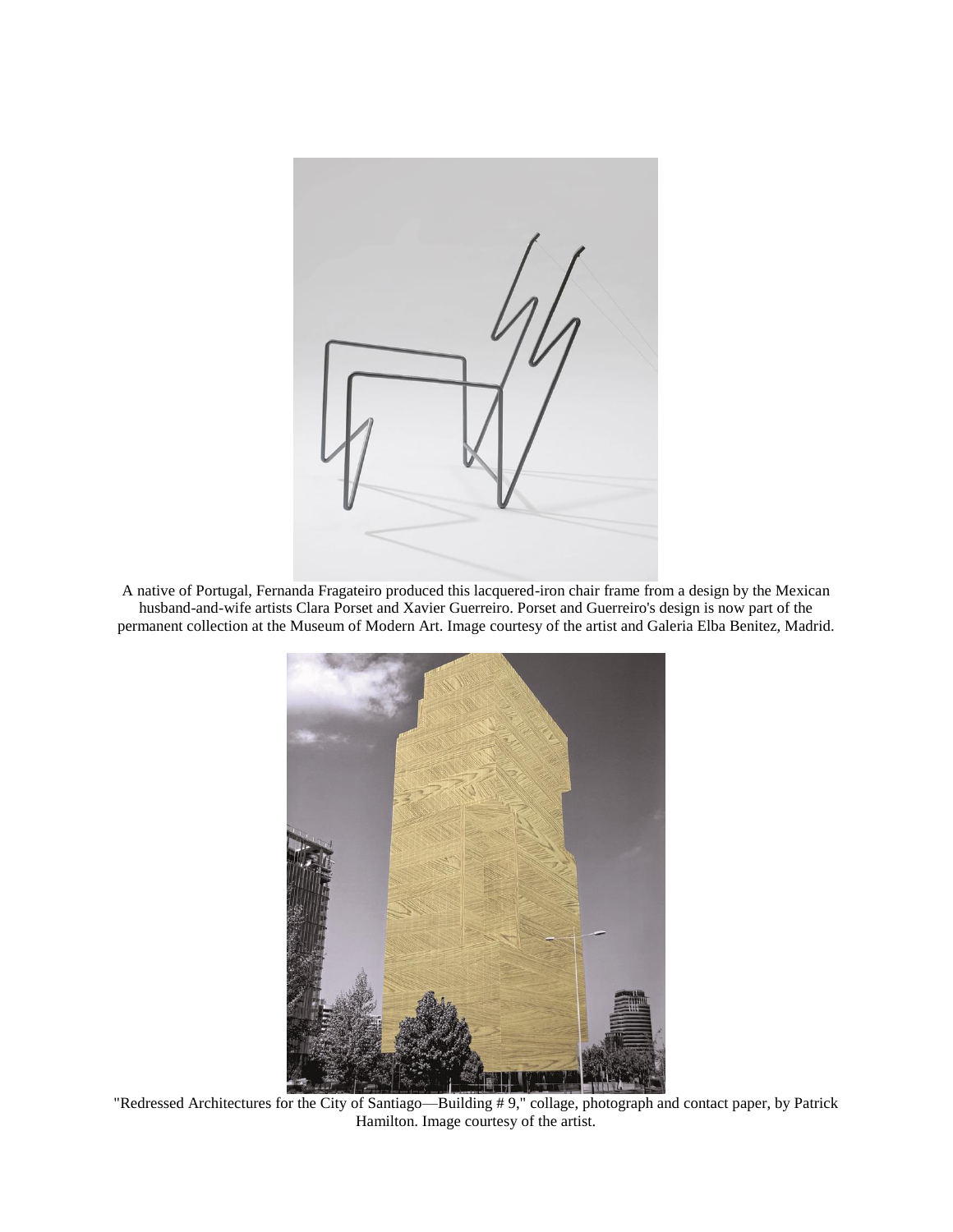

A native of Portugal, Fernanda Fragateiro produced this lacquered-iron chair frame from a design by the Mexican husband-and-wife artists Clara Porset and Xavier Guerreiro. Porset and Guerreiro's design is now part of the permanent collection at the Museum of Modern Art. Image courtesy of the artist and Galeria Elba Benitez, Madrid.



"Redressed Architectures for the City of Santiago—Building # 9," collage, photograph and contact paper, by Patrick Hamilton. Image courtesy of the artist.